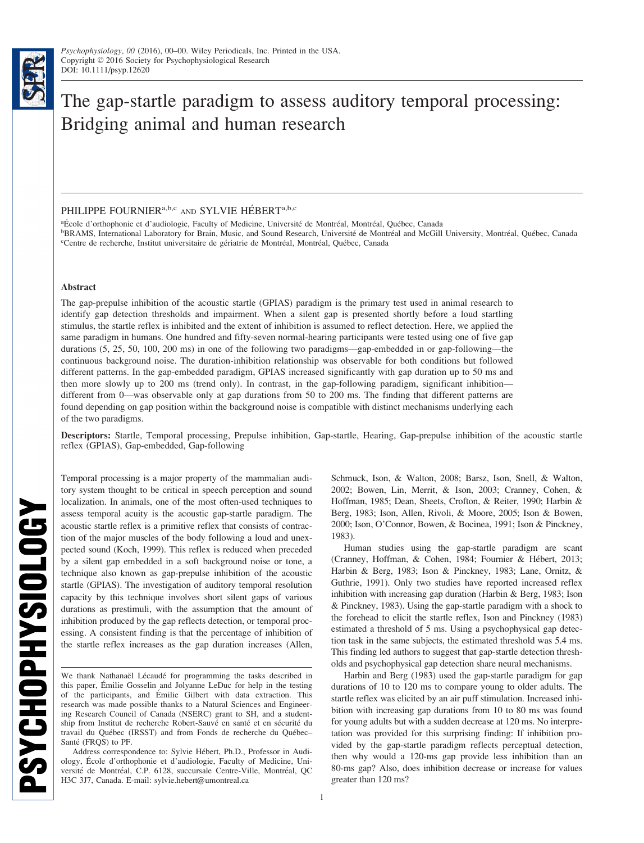**PSYCHOPHYSIOLOGY** 

# The gap-startle paradigm to assess auditory temporal processing: Bridging animal and human research

## PHILIPPE FOURNIER<sup>a,b,c</sup> AND SYLVIE HÉBERT<sup>a,b,c</sup>

<sup>a</sup>École d'orthophonie et d'audiologie, Faculty of Medicine, Université de Montréal, Montréal, Québec, Canada<br><sup>b</sup>BRAMS, International Laboratory for Brain, Music, and Sound Research, Université de Montréal and McGill

<sup>b</sup>BRAMS, International Laboratory for Brain, Music, and Sound Research, Université de Montréal and McGill University, Montréal, Québec, Canada<br><sup>eC</sup>entre de recherche, Institut universitaire de gériatrie de Montréal, Montr Centre de recherche, Institut universitaire de gériatrie de Montréal, Montréal, Québec, Canada

### Abstract

The gap-prepulse inhibition of the acoustic startle (GPIAS) paradigm is the primary test used in animal research to identify gap detection thresholds and impairment. When a silent gap is presented shortly before a loud startling stimulus, the startle reflex is inhibited and the extent of inhibition is assumed to reflect detection. Here, we applied the same paradigm in humans. One hundred and fifty-seven normal-hearing participants were tested using one of five gap durations (5, 25, 50, 100, 200 ms) in one of the following two paradigms—gap-embedded in or gap-following—the continuous background noise. The duration-inhibition relationship was observable for both conditions but followed different patterns. In the gap-embedded paradigm, GPIAS increased significantly with gap duration up to 50 ms and then more slowly up to 200 ms (trend only). In contrast, in the gap-following paradigm, significant inhibition different from 0—was observable only at gap durations from 50 to 200 ms. The finding that different patterns are found depending on gap position within the background noise is compatible with distinct mechanisms underlying each of the two paradigms.

Descriptors: Startle, Temporal processing, Prepulse inhibition, Gap-startle, Hearing, Gap-prepulse inhibition of the acoustic startle reflex (GPIAS), Gap-embedded, Gap-following

Temporal processing is a major property of the mammalian auditory system thought to be critical in speech perception and sound localization. In animals, one of the most often-used techniques to assess temporal acuity is the acoustic gap-startle paradigm. The acoustic startle reflex is a primitive reflex that consists of contraction of the major muscles of the body following a loud and unexpected sound (Koch, 1999). This reflex is reduced when preceded by a silent gap embedded in a soft background noise or tone, a technique also known as gap-prepulse inhibition of the acoustic startle (GPIAS). The investigation of auditory temporal resolution capacity by this technique involves short silent gaps of various durations as prestimuli, with the assumption that the amount of inhibition produced by the gap reflects detection, or temporal processing. A consistent finding is that the percentage of inhibition of the startle reflex increases as the gap duration increases (Allen, Schmuck, Ison, & Walton, 2008; Barsz, Ison, Snell, & Walton, 2002; Bowen, Lin, Merrit, & Ison, 2003; Cranney, Cohen, & Hoffman, 1985; Dean, Sheets, Crofton, & Reiter, 1990; Harbin & Berg, 1983; Ison, Allen, Rivoli, & Moore, 2005; Ison & Bowen, 2000; Ison, O'Connor, Bowen, & Bocinea, 1991; Ison & Pinckney, 1983).

Human studies using the gap-startle paradigm are scant (Cranney, Hoffman, & Cohen, 1984; Fournier & Hébert, 2013; Harbin & Berg, 1983; Ison & Pinckney, 1983; Lane, Ornitz, & Guthrie, 1991). Only two studies have reported increased reflex inhibition with increasing gap duration (Harbin & Berg, 1983; Ison & Pinckney, 1983). Using the gap-startle paradigm with a shock to the forehead to elicit the startle reflex, Ison and Pinckney (1983) estimated a threshold of 5 ms. Using a psychophysical gap detection task in the same subjects, the estimated threshold was 5.4 ms. This finding led authors to suggest that gap-startle detection thresholds and psychophysical gap detection share neural mechanisms.

Harbin and Berg (1983) used the gap-startle paradigm for gap durations of 10 to 120 ms to compare young to older adults. The startle reflex was elicited by an air puff stimulation. Increased inhibition with increasing gap durations from 10 to 80 ms was found for young adults but with a sudden decrease at 120 ms. No interpretation was provided for this surprising finding: If inhibition provided by the gap-startle paradigm reflects perceptual detection, then why would a 120-ms gap provide less inhibition than an 80-ms gap? Also, does inhibition decrease or increase for values greater than 120 ms?

We thank Nathanaël Lécaudé for programming the tasks described in this paper, Emilie Gosselin and Jolyanne LeDuc for help in the testing of the participants, and Émilie Gilbert with data extraction. This research was made possible thanks to a Natural Sciences and Engineering Research Council of Canada (NSERC) grant to SH, and a studentship from Institut de recherche Robert-Sauvé en santé et en sécurité du travail du Québec (IRSST) and from Fonds de recherche du Québec-Santé (FRQS) to PF.

Address correspondence to: Sylvie Hébert, Ph.D., Professor in Audiology, Ecole d'orthophonie et d'audiologie, Faculty of Medicine, Uni- versité de Montréal, C.P. 6128, succursale Centre-Ville, Montréal, QC H3C 3J7, Canada. E-mail: sylvie.hebert@umontreal.ca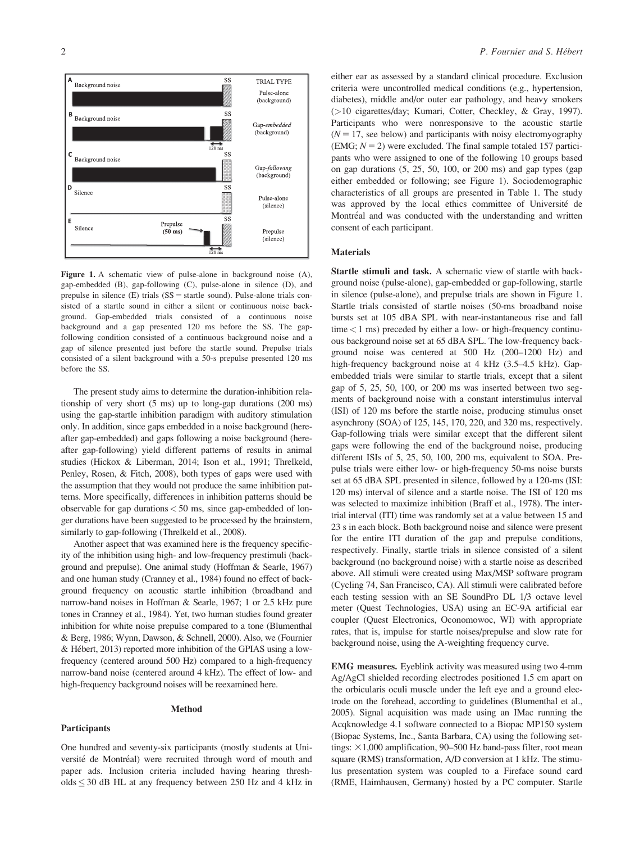

Figure 1. A schematic view of pulse-alone in background noise (A), gap-embedded (B), gap-following (C), pulse-alone in silence (D), and prepulse in silence  $(E)$  trials  $(SS = startle sound)$ . Pulse-alone trials consisted of a startle sound in either a silent or continuous noise background. Gap-embedded trials consisted of a continuous noise background and a gap presented 120 ms before the SS. The gapfollowing condition consisted of a continuous background noise and a gap of silence presented just before the startle sound. Prepulse trials consisted of a silent background with a 50-s prepulse presented 120 ms before the SS.

The present study aims to determine the duration-inhibition relationship of very short (5 ms) up to long-gap durations (200 ms) using the gap-startle inhibition paradigm with auditory stimulation only. In addition, since gaps embedded in a noise background (hereafter gap-embedded) and gaps following a noise background (hereafter gap-following) yield different patterns of results in animal studies (Hickox & Liberman, 2014; Ison et al., 1991; Threlkeld, Penley, Rosen, & Fitch, 2008), both types of gaps were used with the assumption that they would not produce the same inhibition patterns. More specifically, differences in inhibition patterns should be observable for gap durations  $< 50$  ms, since gap-embedded of longer durations have been suggested to be processed by the brainstem, similarly to gap-following (Threlkeld et al., 2008).

Another aspect that was examined here is the frequency specificity of the inhibition using high- and low-frequency prestimuli (background and prepulse). One animal study (Hoffman & Searle, 1967) and one human study (Cranney et al., 1984) found no effect of background frequency on acoustic startle inhibition (broadband and narrow-band noises in Hoffman & Searle, 1967; 1 or 2.5 kHz pure tones in Cranney et al., 1984). Yet, two human studies found greater inhibition for white noise prepulse compared to a tone (Blumenthal & Berg, 1986; Wynn, Dawson, & Schnell, 2000). Also, we (Fournier & Hébert, 2013) reported more inhibition of the GPIAS using a lowfrequency (centered around 500 Hz) compared to a high-frequency narrow-band noise (centered around 4 kHz). The effect of low- and high-frequency background noises will be reexamined here.

#### Method

olds  $\leq$  30 dB HL at any frequency between 250 Hz and 4 kHz in

## Participants

One hundred and seventy-six participants (mostly students at Université de Montréal) were recruited through word of mouth and paper ads. Inclusion criteria included having hearing thresh-

either ear as assessed by a standard clinical procedure. Exclusion criteria were uncontrolled medical conditions (e.g., hypertension, diabetes), middle and/or outer ear pathology, and heavy smokers (>10 cigarettes/day; Kumari, Cotter, Checkley, & Gray, 1997). Participants who were nonresponsive to the acoustic startle  $(N = 17$ , see below) and participants with noisy electromyography (EMG;  $N = 2$ ) were excluded. The final sample totaled 157 participants who were assigned to one of the following 10 groups based on gap durations (5, 25, 50, 100, or 200 ms) and gap types (gap either embedded or following; see Figure 1). Sociodemographic characteristics of all groups are presented in Table 1. The study was approved by the local ethics committee of Université de Montréal and was conducted with the understanding and written consent of each participant.

#### Materials

Startle stimuli and task. A schematic view of startle with background noise (pulse-alone), gap-embedded or gap-following, startle in silence (pulse-alone), and prepulse trials are shown in Figure 1. Startle trials consisted of startle noises (50-ms broadband noise bursts set at 105 dBA SPL with near-instantaneous rise and fall  $time < 1$  ms) preceded by either a low- or high-frequency continuous background noise set at 65 dBA SPL. The low-frequency background noise was centered at 500 Hz (200–1200 Hz) and high-frequency background noise at 4 kHz (3.5–4.5 kHz). Gapembedded trials were similar to startle trials, except that a silent gap of 5, 25, 50, 100, or 200 ms was inserted between two segments of background noise with a constant interstimulus interval (ISI) of 120 ms before the startle noise, producing stimulus onset asynchrony (SOA) of 125, 145, 170, 220, and 320 ms, respectively. Gap-following trials were similar except that the different silent gaps were following the end of the background noise, producing different ISIs of 5, 25, 50, 100, 200 ms, equivalent to SOA. Prepulse trials were either low- or high-frequency 50-ms noise bursts set at 65 dBA SPL presented in silence, followed by a 120-ms (ISI: 120 ms) interval of silence and a startle noise. The ISI of 120 ms was selected to maximize inhibition (Braff et al., 1978). The intertrial interval (ITI) time was randomly set at a value between 15 and 23 s in each block. Both background noise and silence were present for the entire ITI duration of the gap and prepulse conditions, respectively. Finally, startle trials in silence consisted of a silent background (no background noise) with a startle noise as described above. All stimuli were created using Max/MSP software program (Cycling 74, San Francisco, CA). All stimuli were calibrated before each testing session with an SE SoundPro DL 1/3 octave level meter (Quest Technologies, USA) using an EC-9A artificial ear coupler (Quest Electronics, Oconomowoc, WI) with appropriate rates, that is, impulse for startle noises/prepulse and slow rate for background noise, using the A-weighting frequency curve.

EMG measures. Eyeblink activity was measured using two 4-mm Ag/AgCl shielded recording electrodes positioned 1.5 cm apart on the orbicularis oculi muscle under the left eye and a ground electrode on the forehead, according to guidelines (Blumenthal et al., 2005). Signal acquisition was made using an IMac running the Acqknowledge 4.1 software connected to a Biopac MP150 system (Biopac Systems, Inc., Santa Barbara, CA) using the following settings:  $\times$ 1,000 amplification, 90–500 Hz band-pass filter, root mean square (RMS) transformation, A/D conversion at 1 kHz. The stimulus presentation system was coupled to a Fireface sound card (RME, Haimhausen, Germany) hosted by a PC computer. Startle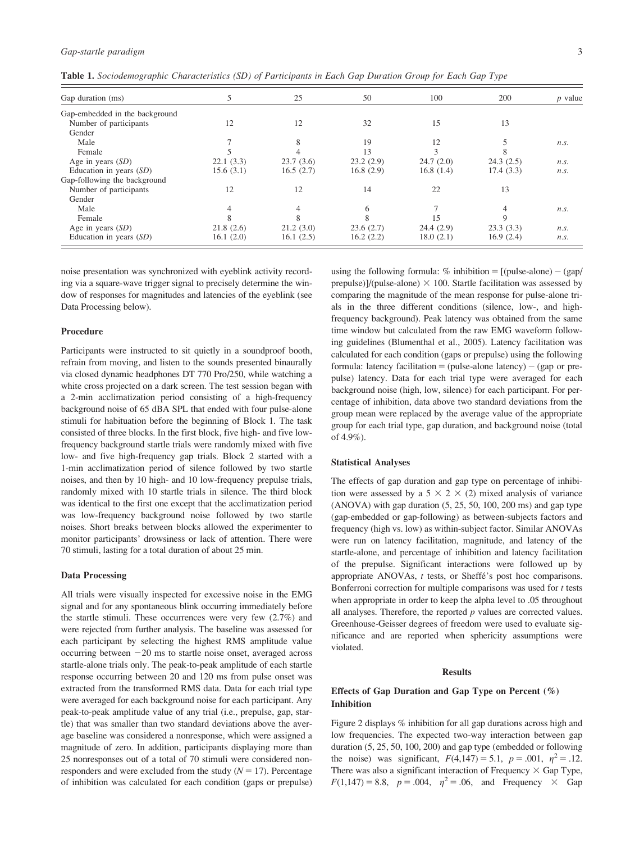| Table 1. Sociodemographic Characteristics (SD) of Participants in Each Gap Duration Group for Each Gap Type |  |  |  |  |
|-------------------------------------------------------------------------------------------------------------|--|--|--|--|
|-------------------------------------------------------------------------------------------------------------|--|--|--|--|

| Gap duration (ms)              |           | 25        | 50        | 100       | 200       | $p$ value |
|--------------------------------|-----------|-----------|-----------|-----------|-----------|-----------|
| Gap-embedded in the background |           |           |           |           |           |           |
| Number of participants         | 12        | 12        | 32        | 15        | 13        |           |
| Gender                         |           |           |           |           |           |           |
| Male                           |           | 8         | 19        | 12        |           | n.s.      |
| Female                         |           |           | 13        | 3         |           |           |
| Age in years $(SD)$            | 22.1(3.3) | 23.7(3.6) | 23.2(2.9) | 24.7(2.0) | 24.3(2.5) | n.s.      |
| Education in years $(SD)$      | 15.6(3.1) | 16.5(2.7) | 16.8(2.9) | 16.8(1.4) | 17.4(3.3) | n.s.      |
| Gap-following the background   |           |           |           |           |           |           |
| Number of participants         | 12        | 12        | 14        | 22        | 13        |           |
| Gender                         |           |           |           |           |           |           |
| Male                           |           |           |           |           |           | n.s.      |
| Female                         |           | 8         | 8         | 15        |           |           |
| Age in years $(SD)$            | 21.8(2.6) | 21.2(3.0) | 23.6(2.7) | 24.4(2.9) | 23.3(3.3) | n.s.      |
| Education in years $(SD)$      | 16.1(2.0) | 16.1(2.5) | 16.2(2.2) | 18.0(2.1) | 16.9(2.4) | n.s.      |

noise presentation was synchronized with eyeblink activity recording via a square-wave trigger signal to precisely determine the window of responses for magnitudes and latencies of the eyeblink (see Data Processing below).

## Procedure

Participants were instructed to sit quietly in a soundproof booth, refrain from moving, and listen to the sounds presented binaurally via closed dynamic headphones DT 770 Pro/250, while watching a white cross projected on a dark screen. The test session began with a 2-min acclimatization period consisting of a high-frequency background noise of 65 dBA SPL that ended with four pulse-alone stimuli for habituation before the beginning of Block 1. The task consisted of three blocks. In the first block, five high- and five lowfrequency background startle trials were randomly mixed with five low- and five high-frequency gap trials. Block 2 started with a 1-min acclimatization period of silence followed by two startle noises, and then by 10 high- and 10 low-frequency prepulse trials, randomly mixed with 10 startle trials in silence. The third block was identical to the first one except that the acclimatization period was low-frequency background noise followed by two startle noises. Short breaks between blocks allowed the experimenter to monitor participants' drowsiness or lack of attention. There were 70 stimuli, lasting for a total duration of about 25 min.

## Data Processing

All trials were visually inspected for excessive noise in the EMG signal and for any spontaneous blink occurring immediately before the startle stimuli. These occurrences were very few (2.7%) and were rejected from further analysis. The baseline was assessed for each participant by selecting the highest RMS amplitude value occurring between  $-20$  ms to startle noise onset, averaged across startle-alone trials only. The peak-to-peak amplitude of each startle response occurring between 20 and 120 ms from pulse onset was extracted from the transformed RMS data. Data for each trial type were averaged for each background noise for each participant. Any peak-to-peak amplitude value of any trial (i.e., prepulse, gap, startle) that was smaller than two standard deviations above the average baseline was considered a nonresponse, which were assigned a magnitude of zero. In addition, participants displaying more than 25 nonresponses out of a total of 70 stimuli were considered nonresponders and were excluded from the study  $(N = 17)$ . Percentage of inhibition was calculated for each condition (gaps or prepulse) using the following formula:  $%$  inhibition = [(pulse-alone) - (gap/ prepulse)]/(pulse-alone)  $\times$  100. Startle facilitation was assessed by comparing the magnitude of the mean response for pulse-alone trials in the three different conditions (silence, low-, and highfrequency background). Peak latency was obtained from the same time window but calculated from the raw EMG waveform following guidelines (Blumenthal et al., 2005). Latency facilitation was calculated for each condition (gaps or prepulse) using the following formula: latency facilitation  $=$  (pulse-alone latency)  $-$  (gap or prepulse) latency. Data for each trial type were averaged for each background noise (high, low, silence) for each participant. For percentage of inhibition, data above two standard deviations from the group mean were replaced by the average value of the appropriate group for each trial type, gap duration, and background noise (total of 4.9%).

### Statistical Analyses

The effects of gap duration and gap type on percentage of inhibition were assessed by a 5  $\times$  2  $\times$  (2) mixed analysis of variance (ANOVA) with gap duration (5, 25, 50, 100, 200 ms) and gap type (gap-embedded or gap-following) as between-subjects factors and frequency (high vs. low) as within-subject factor. Similar ANOVAs were run on latency facilitation, magnitude, and latency of the startle-alone, and percentage of inhibition and latency facilitation of the prepulse. Significant interactions were followed up by appropriate ANOVAs, t tests, or Sheffé's post hoc comparisons. Bonferroni correction for multiple comparisons was used for  $t$  tests when appropriate in order to keep the alpha level to .05 throughout all analyses. Therefore, the reported  $p$  values are corrected values. Greenhouse-Geisser degrees of freedom were used to evaluate significance and are reported when sphericity assumptions were violated.

#### Results

## Effects of Gap Duration and Gap Type on Percent (%) Inhibition

Figure 2 displays % inhibition for all gap durations across high and low frequencies. The expected two-way interaction between gap duration (5, 25, 50, 100, 200) and gap type (embedded or following the noise) was significant,  $F(4,147) = 5.1$ ,  $p = .001$ ,  $\eta^2 = .12$ . There was also a significant interaction of Frequency  $\times$  Gap Type,  $F(1,147) = 8.8, p = .004, \eta^2 = .06, \text{ and Frequency} \times \text{Gap}$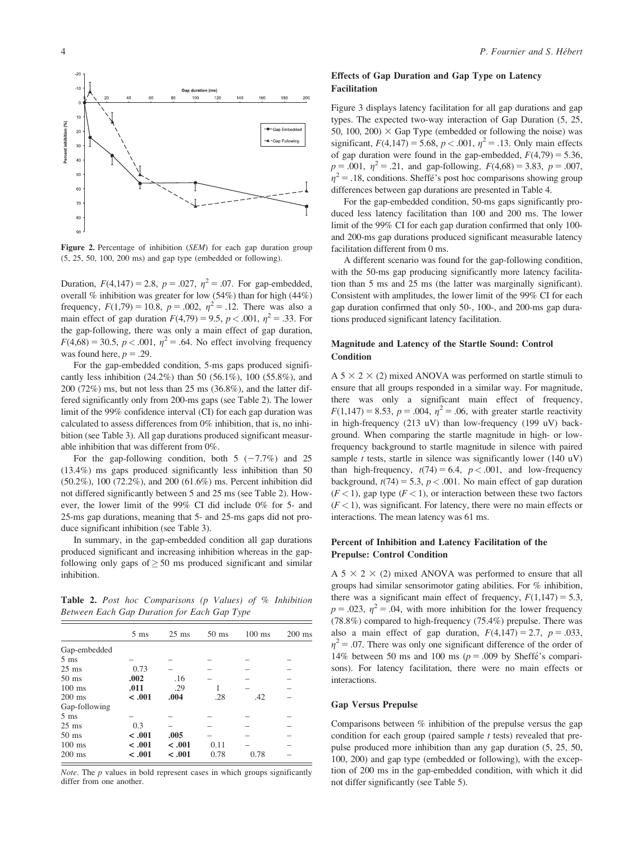

Figure 2. Percentage of inhibition (SEM) for each gap duration group (5, 25, 50, 100, 200 ms) and gap type (embedded or following).

Duration,  $F(4,147) = 2.8$ ,  $p = .027$ ,  $\eta^2 = .07$ . For gap-embedded, overall  $%$  inhibition was greater for low (54%) than for high (44%) frequency,  $F(1,79) = 10.8$ ,  $p = .002$ ,  $\eta^2 = .12$ . There was also a main effect of gap duration  $F(4,79) = 9.5$ ,  $p < .001$ ,  $\eta^2 = .33$ . For the gap-following, there was only a main effect of gap duration,  $F(4,68) = 30.5, p < .001, \eta^2 = .64$ . No effect involving frequency was found here,  $p = .29$ .

For the gap-embedded condition, 5-ms gaps produced significantly less inhibition (24.2%) than 50 (56.1%), 100 (55.8%), and 200 (72%) ms, but not less than 25 ms (36.8%), and the latter differed significantly only from 200-ms gaps (see Table 2). The lower limit of the 99% confidence interval (CI) for each gap duration was calculated to assess differences from 0% inhibition, that is, no inhibition (see Table 3). All gap durations produced significant measurable inhibition that was different from 0%.

For the gap-following condition, both  $5 (-7.7%)$  and 25 (13.4%) ms gaps produced significantly less inhibition than 50 (50.2%), 100 (72.2%), and 200 (61.6%) ms. Percent inhibition did not differed significantly between 5 and 25 ms (see Table 2). However, the lower limit of the 99% CI did include 0% for 5- and 25-ms gap durations, meaning that 5- and 25-ms gaps did not produce significant inhibition (see Table 3).

In summary, in the gap-embedded condition all gap durations produced significant and increasing inhibition whereas in the gapfollowing only gaps of  $\geq$  50 ms produced significant and similar inhibition.

Table 2. Post hoc Comparisons (p Values) of % Inhibition Between Each Gap Duration for Each Gap Type

|                 | $5 \text{ ms}$ | $25$ ms | $50 \text{ ms}$ | $100$ ms | $200$ ms |
|-----------------|----------------|---------|-----------------|----------|----------|
| Gap-embedded    |                |         |                 |          |          |
| $5 \text{ ms}$  |                |         |                 |          |          |
| $25$ ms         | 0.73           |         |                 |          |          |
| $50 \text{ ms}$ | .002           | .16     |                 |          |          |
| $100$ ms        | .011           | .29     |                 |          |          |
| $200$ ms        | < 0.01         | .004    | .28             | .42      |          |
| Gap-following   |                |         |                 |          |          |
| $5 \text{ ms}$  |                |         |                 |          |          |
| $25$ ms         | 0.3            |         |                 |          |          |
| $50$ ms         | < 0.001        | .005    |                 |          |          |
| $100$ ms        | < 0.001        | < 0.001 | 0.11            |          |          |
| $200$ ms        | < 0.01         | < 0.01  | 0.78            | 0.78     |          |

Note. The  $p$  values in bold represent cases in which groups significantly differ from one another.

## Effects of Gap Duration and Gap Type on Latency Facilitation

Figure 3 displays latency facilitation for all gap durations and gap types. The expected two-way interaction of Gap Duration (5, 25, 50, 100, 200)  $\times$  Gap Type (embedded or following the noise) was significant,  $F(4,147) = 5.68$ ,  $p < .001$ ,  $\eta^2 = .13$ . Only main effects of gap duration were found in the gap-embedded,  $F(4,79) = 5.36$ ,  $p = .001$ ,  $\eta^2 = .21$ , and gap-following,  $F(4,68) = 3.83$ ,  $p = .007$ ,  $\eta^2 = .18$ , conditions. Sheffé's post hoc comparisons showing group differences between gap durations are presented in Table 4.

For the gap-embedded condition, 50-ms gaps significantly produced less latency facilitation than 100 and 200 ms. The lower limit of the 99% CI for each gap duration confirmed that only 100 and 200-ms gap durations produced significant measurable latency facilitation different from 0 ms.

A different scenario was found for the gap-following condition, with the 50-ms gap producing significantly more latency facilitation than 5 ms and 25 ms (the latter was marginally significant). Consistent with amplitudes, the lower limit of the 99% CI for each gap duration confirmed that only 50-, 100-, and 200-ms gap durations produced significant latency facilitation.

## Magnitude and Latency of the Startle Sound: Control **Condition**

A  $5 \times 2 \times (2)$  mixed ANOVA was performed on startle stimuli to ensure that all groups responded in a similar way. For magnitude, there was only a significant main effect of frequency,  $F(1,147) = 8.53, p = .004, \eta^2 = .06$ , with greater startle reactivity in high-frequency (213 uV) than low-frequency (199 uV) background. When comparing the startle magnitude in high- or lowfrequency background to startle magnitude in silence with paired sample  $t$  tests, startle in silence was significantly lower (140 uV) than high-frequency,  $t(74) = 6.4$ ,  $p < .001$ , and low-frequency background,  $t(74) = 5.3$ ,  $p < .001$ . No main effect of gap duration  $(F < 1)$ , gap type  $(F < 1)$ , or interaction between these two factors  $(F < 1)$ , was significant. For latency, there were no main effects or interactions. The mean latency was 61 ms.

## Percent of Inhibition and Latency Facilitation of the Prepulse: Control Condition

A  $5 \times 2 \times (2)$  mixed ANOVA was performed to ensure that all groups had similar sensorimotor gating abilities. For % inhibition, there was a significant main effect of frequency,  $F(1,147) = 5.3$ ,  $p = .023$ ,  $\eta^2 = .04$ , with more inhibition for the lower frequency (78.8%) compared to high-frequency (75.4%) prepulse. There was also a main effect of gap duration,  $F(4,147) = 2.7$ ,  $p = .033$ ,  $\eta^2$  = .07. There was only one significant difference of the order of 14% between 50 ms and 100 ms ( $p = .009$  by Sheffé's comparisons). For latency facilitation, there were no main effects or interactions.

## Gap Versus Prepulse

Comparisons between % inhibition of the prepulse versus the gap condition for each group (paired sample  $t$  tests) revealed that prepulse produced more inhibition than any gap duration (5, 25, 50, 100, 200) and gap type (embedded or following), with the exception of 200 ms in the gap-embedded condition, with which it did not differ significantly (see Table 5).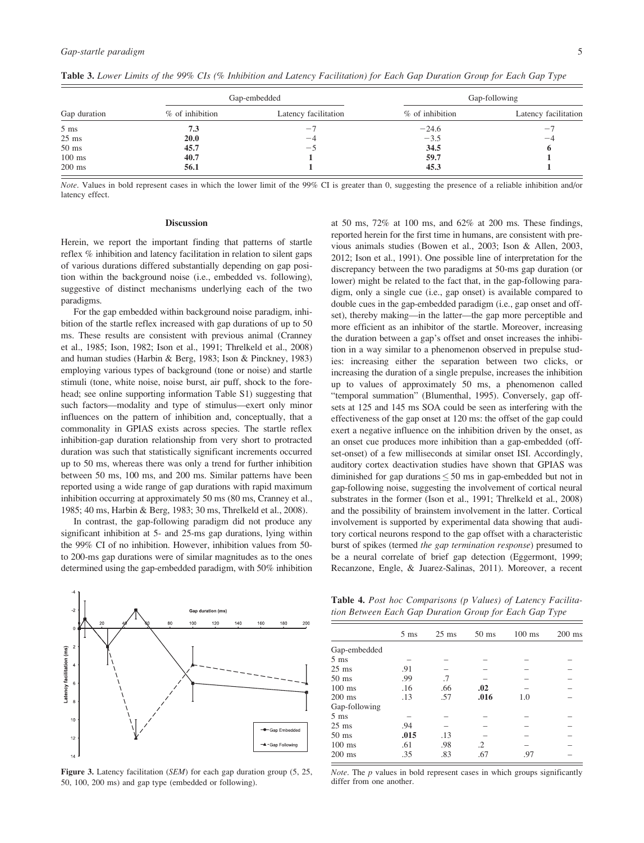|                |                   | Gap-embedded         | Gap-following     |                      |  |
|----------------|-------------------|----------------------|-------------------|----------------------|--|
| Gap duration   | $%$ of inhibition | Latency facilitation | $%$ of inhibition | Latency facilitation |  |
| $5 \text{ ms}$ | 7.3               | $-$ .                | $-24.6$           | $-$                  |  |
| $25$ ms        | 20.0              | $-4$                 | $-3.5$            | $-4$                 |  |
| $50$ ms        | 45.7              | ーヽ                   | 34.5              | 6                    |  |
| $100$ ms       | 40.7              |                      | 59.7              |                      |  |
| $200$ ms       | 56.1              |                      | 45.3              |                      |  |

Table 3. Lower Limits of the 99% CIs (% Inhibition and Latency Facilitation) for Each Gap Duration Group for Each Gap Type

Note. Values in bold represent cases in which the lower limit of the 99% CI is greater than 0, suggesting the presence of a reliable inhibition and/or latency effect.

#### Discussion

Herein, we report the important finding that patterns of startle reflex % inhibition and latency facilitation in relation to silent gaps of various durations differed substantially depending on gap position within the background noise (i.e., embedded vs. following), suggestive of distinct mechanisms underlying each of the two paradigms.

For the gap embedded within background noise paradigm, inhibition of the startle reflex increased with gap durations of up to 50 ms. These results are consistent with previous animal (Cranney et al., 1985; Ison, 1982; Ison et al., 1991; Threlkeld et al., 2008) and human studies (Harbin & Berg, 1983; Ison & Pinckney, 1983) employing various types of background (tone or noise) and startle stimuli (tone, white noise, noise burst, air puff, shock to the forehead; see online supporting information Table S1) suggesting that such factors—modality and type of stimulus—exert only minor influences on the pattern of inhibition and, conceptually, that a commonality in GPIAS exists across species. The startle reflex inhibition-gap duration relationship from very short to protracted duration was such that statistically significant increments occurred up to 50 ms, whereas there was only a trend for further inhibition between 50 ms, 100 ms, and 200 ms. Similar patterns have been reported using a wide range of gap durations with rapid maximum inhibition occurring at approximately 50 ms (80 ms, Cranney et al., 1985; 40 ms, Harbin & Berg, 1983; 30 ms, Threlkeld et al., 2008).

In contrast, the gap-following paradigm did not produce any significant inhibition at 5- and 25-ms gap durations, lying within the 99% CI of no inhibition. However, inhibition values from 50 to 200-ms gap durations were of similar magnitudes as to the ones determined using the gap-embedded paradigm, with 50% inhibition at 50 ms, 72% at 100 ms, and 62% at 200 ms. These findings, reported herein for the first time in humans, are consistent with previous animals studies (Bowen et al., 2003; Ison & Allen, 2003, 2012; Ison et al., 1991). One possible line of interpretation for the discrepancy between the two paradigms at 50-ms gap duration (or lower) might be related to the fact that, in the gap-following paradigm, only a single cue (i.e., gap onset) is available compared to double cues in the gap-embedded paradigm (i.e., gap onset and offset), thereby making—in the latter—the gap more perceptible and more efficient as an inhibitor of the startle. Moreover, increasing the duration between a gap's offset and onset increases the inhibition in a way similar to a phenomenon observed in prepulse studies: increasing either the separation between two clicks, or increasing the duration of a single prepulse, increases the inhibition up to values of approximately 50 ms, a phenomenon called "temporal summation" (Blumenthal, 1995). Conversely, gap offsets at 125 and 145 ms SOA could be seen as interfering with the effectiveness of the gap onset at 120 ms: the offset of the gap could exert a negative influence on the inhibition driven by the onset, as an onset cue produces more inhibition than a gap-embedded (offset-onset) of a few milliseconds at similar onset ISI. Accordingly, auditory cortex deactivation studies have shown that GPIAS was diminished for gap durations  $\leq 50$  ms in gap-embedded but not in gap-following noise, suggesting the involvement of cortical neural substrates in the former (Ison et al., 1991; Threlkeld et al., 2008) and the possibility of brainstem involvement in the latter. Cortical involvement is supported by experimental data showing that auditory cortical neurons respond to the gap offset with a characteristic burst of spikes (termed the gap termination response) presumed to be a neural correlate of brief gap detection (Eggermont, 1999; Recanzone, Engle, & Juarez-Salinas, 2011). Moreover, a recent



Figure 3. Latency facilitation (SEM) for each gap duration group (5, 25, 50, 100, 200 ms) and gap type (embedded or following).

Table 4. Post hoc Comparisons (p Values) of Latency Facilitation Between Each Gap Duration Group for Each Gap Type

|                 | $5 \text{ ms}$ | $25 \text{ ms}$ | $50 \text{ ms}$ | $100$ ms | $200$ ms |
|-----------------|----------------|-----------------|-----------------|----------|----------|
| Gap-embedded    |                |                 |                 |          |          |
| $5 \text{ ms}$  |                |                 |                 |          |          |
| $25 \text{ ms}$ | .91            |                 |                 |          |          |
| $50 \text{ ms}$ | .99            | .7              |                 |          |          |
| $100$ ms        | .16            | .66             | .02             |          |          |
| $200$ ms        | .13            | .57             | .016            | 1.0      |          |
| Gap-following   |                |                 |                 |          |          |
| $5 \text{ ms}$  |                |                 |                 |          |          |
| $25$ ms         | .94            |                 |                 |          |          |
| $50 \text{ ms}$ | .015           | .13             |                 |          |          |
| $100$ ms        | .61            | .98             | $\cdot$ 2       |          |          |
| $200$ ms        | .35            | .83             | .67             | .97      |          |
|                 |                |                 |                 |          |          |

*Note*. The  $p$  values in bold represent cases in which groups significantly differ from one another.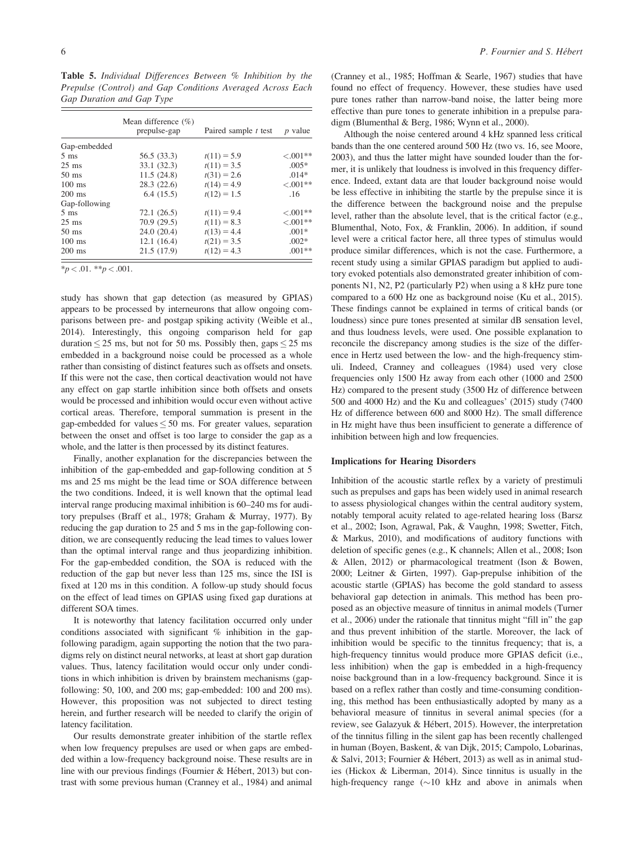Table 5. Individual Differences Between % Inhibition by the Prepulse (Control) and Gap Conditions Averaged Across Each Gap Duration and Gap Type

|                 | Mean difference $(\% )$<br>prepulse-gap | Paired sample t test | $p$ value   |
|-----------------|-----------------------------------------|----------------------|-------------|
| Gap-embedded    |                                         |                      |             |
| $5 \text{ ms}$  | 56.5 (33.3)                             | $t(11) = 5.9$        | $< 0.01**$  |
| $25 \text{ ms}$ | 33.1 (32.3)                             | $t(11) = 3.5$        | $.005*$     |
| $50 \text{ ms}$ | 11.5(24.8)                              | $t(31) = 2.6$        | $.014*$     |
| $100$ ms        | 28.3(22.6)                              | $t(14) = 4.9$        | $< .001**$  |
| $200$ ms        | 6.4(15.5)                               | $t(12) = 1.5$        | .16         |
| Gap-following   |                                         |                      |             |
| $5 \text{ ms}$  | 72.1(26.5)                              | $t(11) = 9.4$        | $< .001**$  |
| $25 \text{ ms}$ | 70.9(29.5)                              | $t(11) = 8.3$        | ${<}.001**$ |
| $50 \text{ ms}$ | 24.0(20.4)                              | $t(13) = 4.4$        | $.001*$     |
| $100$ ms        | 12.1(16.4)                              | $t(21) = 3.5$        | $.002*$     |
| $200$ ms        | 21.5 (17.9)                             | $t(12) = 4.3$        | $.001**$    |

 $*<sub>p</sub> < .01.$   $*<sub>p</sub> < .001.$ 

study has shown that gap detection (as measured by GPIAS) appears to be processed by interneurons that allow ongoing comparisons between pre- and postgap spiking activity (Weible et al., 2014). Interestingly, this ongoing comparison held for gap duration  $\leq$  25 ms, but not for 50 ms. Possibly then, gaps  $\leq$  25 ms embedded in a background noise could be processed as a whole rather than consisting of distinct features such as offsets and onsets. If this were not the case, then cortical deactivation would not have any effect on gap startle inhibition since both offsets and onsets would be processed and inhibition would occur even without active cortical areas. Therefore, temporal summation is present in the gap-embedded for values  $\leq 50$  ms. For greater values, separation between the onset and offset is too large to consider the gap as a whole, and the latter is then processed by its distinct features.

Finally, another explanation for the discrepancies between the inhibition of the gap-embedded and gap-following condition at 5 ms and 25 ms might be the lead time or SOA difference between the two conditions. Indeed, it is well known that the optimal lead interval range producing maximal inhibition is 60–240 ms for auditory prepulses (Braff et al., 1978; Graham & Murray, 1977). By reducing the gap duration to 25 and 5 ms in the gap-following condition, we are consequently reducing the lead times to values lower than the optimal interval range and thus jeopardizing inhibition. For the gap-embedded condition, the SOA is reduced with the reduction of the gap but never less than 125 ms, since the ISI is fixed at 120 ms in this condition. A follow-up study should focus on the effect of lead times on GPIAS using fixed gap durations at different SOA times.

It is noteworthy that latency facilitation occurred only under conditions associated with significant % inhibition in the gapfollowing paradigm, again supporting the notion that the two paradigms rely on distinct neural networks, at least at short gap duration values. Thus, latency facilitation would occur only under conditions in which inhibition is driven by brainstem mechanisms (gapfollowing: 50, 100, and 200 ms; gap-embedded: 100 and 200 ms). However, this proposition was not subjected to direct testing herein, and further research will be needed to clarify the origin of latency facilitation.

Our results demonstrate greater inhibition of the startle reflex when low frequency prepulses are used or when gaps are embedded within a low-frequency background noise. These results are in line with our previous findings (Fournier & Hébert, 2013) but contrast with some previous human (Cranney et al., 1984) and animal (Cranney et al., 1985; Hoffman & Searle, 1967) studies that have found no effect of frequency. However, these studies have used pure tones rather than narrow-band noise, the latter being more effective than pure tones to generate inhibition in a prepulse paradigm (Blumenthal & Berg, 1986; Wynn et al., 2000).

Although the noise centered around 4 kHz spanned less critical bands than the one centered around 500 Hz (two vs. 16, see Moore, 2003), and thus the latter might have sounded louder than the former, it is unlikely that loudness is involved in this frequency difference. Indeed, extant data are that louder background noise would be less effective in inhibiting the startle by the prepulse since it is the difference between the background noise and the prepulse level, rather than the absolute level, that is the critical factor (e.g., Blumenthal, Noto, Fox, & Franklin, 2006). In addition, if sound level were a critical factor here, all three types of stimulus would produce similar differences, which is not the case. Furthermore, a recent study using a similar GPIAS paradigm but applied to auditory evoked potentials also demonstrated greater inhibition of components N1, N2, P2 (particularly P2) when using a 8 kHz pure tone compared to a 600 Hz one as background noise (Ku et al., 2015). These findings cannot be explained in terms of critical bands (or loudness) since pure tones presented at similar dB sensation level, and thus loudness levels, were used. One possible explanation to reconcile the discrepancy among studies is the size of the difference in Hertz used between the low- and the high-frequency stimuli. Indeed, Cranney and colleagues (1984) used very close frequencies only 1500 Hz away from each other (1000 and 2500 Hz) compared to the present study (3500 Hz of difference between 500 and 4000 Hz) and the Ku and colleagues' (2015) study (7400 Hz of difference between 600 and 8000 Hz). The small difference in Hz might have thus been insufficient to generate a difference of inhibition between high and low frequencies.

#### Implications for Hearing Disorders

Inhibition of the acoustic startle reflex by a variety of prestimuli such as prepulses and gaps has been widely used in animal research to assess physiological changes within the central auditory system, notably temporal acuity related to age-related hearing loss (Barsz et al., 2002; Ison, Agrawal, Pak, & Vaughn, 1998; Swetter, Fitch, & Markus, 2010), and modifications of auditory functions with deletion of specific genes (e.g., K channels; Allen et al., 2008; Ison & Allen, 2012) or pharmacological treatment (Ison & Bowen, 2000; Leitner & Girten, 1997). Gap-prepulse inhibition of the acoustic startle (GPIAS) has become the gold standard to assess behavioral gap detection in animals. This method has been proposed as an objective measure of tinnitus in animal models (Turner et al., 2006) under the rationale that tinnitus might "fill in" the gap and thus prevent inhibition of the startle. Moreover, the lack of inhibition would be specific to the tinnitus frequency; that is, a high-frequency tinnitus would produce more GPIAS deficit (i.e., less inhibition) when the gap is embedded in a high-frequency noise background than in a low-frequency background. Since it is based on a reflex rather than costly and time-consuming conditioning, this method has been enthusiastically adopted by many as a behavioral measure of tinnitus in several animal species (for a review, see Galazyuk & Hébert, 2015). However, the interpretation of the tinnitus filling in the silent gap has been recently challenged in human (Boyen, Baskent, & van Dijk, 2015; Campolo, Lobarinas, & Salvi, 2013; Fournier & Hébert, 2013) as well as in animal studies (Hickox & Liberman, 2014). Since tinnitus is usually in the high-frequency range  $(\sim 10 \text{ kHz}$  and above in animals when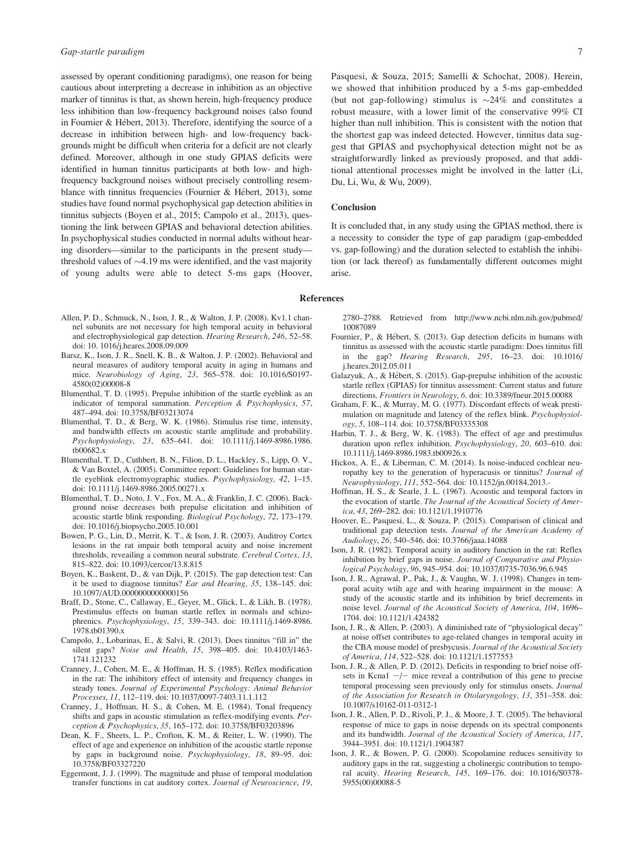assessed by operant conditioning paradigms), one reason for being cautious about interpreting a decrease in inhibition as an objective marker of tinnitus is that, as shown herein, high-frequency produce less inhibition than low-frequency background noises (also found in Fournier & Hébert, 2013). Therefore, identifying the source of a decrease in inhibition between high- and low-frequency backgrounds might be difficult when criteria for a deficit are not clearly defined. Moreover, although in one study GPIAS deficits were identified in human tinnitus participants at both low- and highfrequency background noises without precisely controlling resemblance with tinnitus frequencies (Fournier & Hébert, 2013), some studies have found normal psychophysical gap detection abilities in tinnitus subjects (Boyen et al., 2015; Campolo et al., 2013), questioning the link between GPIAS and behavioral detection abilities. In psychophysical studies conducted in normal adults without hearing disorders—similar to the participants in the present study threshold values of  $\sim$ 4.19 ms were identified, and the vast majority of young adults were able to detect 5-ms gaps (Hoover, Pasquesi, & Souza, 2015; Samelli & Schochat, 2008). Herein, we showed that inhibition produced by a 5-ms gap-embedded (but not gap-following) stimulus is  $\sim$ 24% and constitutes a robust measure, with a lower limit of the conservative 99% CI higher than null inhibition. This is consistent with the notion that the shortest gap was indeed detected. However, tinnitus data suggest that GPIAS and psychophysical detection might not be as straightforwardly linked as previously proposed, and that additional attentional processes might be involved in the latter (Li, Du, Li, Wu, & Wu, 2009).

#### **Conclusion**

It is concluded that, in any study using the GPIAS method, there is a necessity to consider the type of gap paradigm (gap-embedded vs. gap-following) and the duration selected to establish the inhibition (or lack thereof) as fundamentally different outcomes might arise.

#### References

- Allen, P. D., Schmuck, N., Ison, J. R., & Walton, J. P. (2008). Kv1.1 channel subunits are not necessary for high temporal acuity in behavioral and electrophysiological gap detection. Hearing Research, 246, 52–58. doi: 10. 1016/j.heares.2008.09.009
- Barsz, K., Ison, J. R., Snell, K. B., & Walton, J. P. (2002). Behavioral and neural measures of auditory temporal acuity in aging in humans and mice. Neurobiology of Aging, 23, 565–578. doi: [10.1016/S0197-](info:doi/10.1016/S0197-4580(02)00008-8) [4580\(02\)00008-8](info:doi/10.1016/S0197-4580(02)00008-8)
- Blumenthal, T. D. (1995). Prepulse inhibition of the startle eyeblink as an indicator of temporal summation. Perception & Psychophysics, 57, 487–494. doi: [10.3758/BF03213074](info:doi/10.3758/BF03213074)
- Blumenthal, T. D., & Berg, W. K. (1986). Stimulus rise time, intensity, and bandwidth effects on acoustic startle amplitude and probability. Psychophysiology, 23, 635–641. doi: [10.1111/j.1469-8986.1986.](info:doi/10.1111/j.1469-8986.1986.tb00682.x) [tb00682.x](info:doi/10.1111/j.1469-8986.1986.tb00682.x)
- Blumenthal, T. D., Cuthbert, B. N., Filion, D. L., Hackley, S., Lipp, O. V., & Van Boxtel, A. (2005). Committee report: Guidelines for human startle eyeblink electromyographic studies. Psychophysiology, 42, 1–15. doi: [10.1111/j.1469-8986.2005.00271.x](info:doi/10.1111/j.1469-8986.2005.00271.x)
- Blumenthal, T. D., Noto, J. V., Fox, M. A., & Franklin, J. C. (2006). Background noise decreases both prepulse elicitation and inhibition of acoustic startle blink responding. Biological Psychology, 72, 173–179. doi: [10.1016/j.biopsycho.2005.10.001](info:doi/10.1016/j.biopsycho.2005.10.001)
- Bowen, P. G., Lin, D., Merrit, K. T., & Ison, J. R. (2003). Auditroy Cortex lesions in the rat impair both temporal acuity and noise increment thresholds, reveailing a common neural substrate. Cerebral Cortex, 13, 815–822. doi: [10.1093/cercor/13.8.815](info:doi/10.1093/cercor/13.8.815)
- Boyen, K., Baskent, D., & van Dijk, P. (2015). The gap detection test: Can it be used to diagnose tinnitus? Ear and Hearing, 35, 138–145. doi: [10.1097/AUD.0000000000000156](info:doi/10.1097/AUD.0000000000000156)
- Braff, D., Stone, C., Callaway, E., Geyer, M., Glick, I., & Likh, B. (1978). Prestimulus effects on human startle reflex in normals and schizophrenics. Psychophysiology, 15, 339–343. doi: [10.1111/j.1469-8986.](info:doi/10.1111/j.1469-8986.1978.tb01390.x) [1978.tb01390.x](info:doi/10.1111/j.1469-8986.1978.tb01390.x)
- Campolo, J., Lobarinas, E., & Salvi, R. (2013). Does tinnitus "fill in" the silent gaps? Noise and Health, 15, 398–405. doi: [10.4103/1463-](info:doi/10.4103/1463-1741.121232) [1741.121232](info:doi/10.4103/1463-1741.121232)
- Cranney, J., Cohen, M. E., & Hoffman, H. S. (1985). Reflex modification in the rat: The inhibitory effect of intensity and frequency changes in steady tones. Journal of Experimental Psychology: Animal Behavior Processes, 11, 112–119. doi: [10.1037/0097-7403.11.1.112](info:doi/10.1037/0097-7403.11.1.112)
- Cranney, J., Hoffman, H. S., & Cohen, M. E. (1984). Tonal frequency shifts and gaps in acoustic stimulation as reflex-modifying events. Perception & Psychophysics, 35, 165–172. doi: [10.3758/BF03203896](info:doi/10.3758/BF03203896)
- Dean, K. F., Sheets, L. P., Crofton, K. M., & Reiter, L. W. (1990). The effect of age and experience on inhibition of the acoustic startle reponse by gaps in background noise. Psychophysiology, 18, 89–95. doi: [10.3758/BF03327220](info:doi/10.3758/BF03327220)
- Eggermont, J. J. (1999). The magnitude and phase of temporal modulation transfer functions in cat auditory cortex. Journal of Neuroscience, 19,

2780–2788. Retrieved from [http://www.ncbi.nlm.nih.gov/pubmed/](http://www.ncbi.nlm.nih.gov/pubmed/10087089) [10087089](http://www.ncbi.nlm.nih.gov/pubmed/10087089)

- Fournier, P., & Hébert, S. (2013). Gap detection deficits in humans with tinnitus as assessed with the acoustic startle paradigm: Does tinnitus fill in the gap? Hearing Research, 295, 16–23. doi: [10.1016/](info:doi/10.1016/j.heares.2012.05.011) [j.heares.2012.05.011](info:doi/10.1016/j.heares.2012.05.011)
- Galazyuk, A., & Hébert, S. (2015). Gap-prepulse inhibition of the acoustic startle reflex (GPIAS) for tinnitus assessment: Current status and future directions. Frontiers in Neurology, 6. doi: [10.3389/fneur.2015.00088](info:doi/10.3389/fneur.2015.00088)
- Graham, F. K., & Murray, M. G. (1977). Discordant effects of weak prestimulation on magnitude and latency of the reflex blink. Psychophysiology, 5, 108–114. doi: [10.3758/BF03335308](info:doi/10.3758/BF03335308)
- Harbin, T. J., & Berg, W. K. (1983). The effect of age and prestimulus duration upon reflex inhibition. Psychophysiology, 20, 603–610. doi: [10.1111/j.1469-8986.1983.tb00926.x](info:doi/10.1111/j.1469-8986.1983.tb00926.x)
- Hickox, A. E., & Liberman, C. M. (2014). Is noise-induced cochlear neuropathy key to the generation of hyperacusis or tinnitus? Journal of Neurophysiology, 111, 552–564. doi: [10.1152/jn.00184.2013.-](info:doi/10.1152/jn.00184.2013.-)
- Hoffman, H. S., & Searle, J. L. (1967). Acoustic and temporal factors in the evocation of startle. The Journal of the Acoustical Society of America, 43, 269–282. doi: [10.1121/1.1910776](info:doi/10.1121/1.1910776)
- Hoover, E., Pasquesi, L., & Souza, P. (2015). Comparison of clinical and traditional gap detection tests. Journal of the American Academy of Audiology, 26, 540–546. doi: [10.3766/jaaa.14088](info:doi/10.3766/jaaa.14088)
- Ison, J. R. (1982). Temporal acuity in auditory function in the rat: Reflex inhibition by brief gaps in noise. Journal of Comparative and Physiological Psychology, 96, 945–954. doi: [10.1037/0735-7036.96.6.945](info:doi/10.1037/0735-7036.96.6.945)
- Ison, J. R., Agrawal, P., Pak, J., & Vaughn, W. J. (1998). Changes in temporal acuity wtih age and with hearing impairment in the mouse: A study of the acoustic startle and its inhibition by brief decrements in noise level. Journal of the Acoustical Society of America, 104, 1696– 1704. doi: [10.1121/1.424382](info:doi/10.1121/1.424382)
- Ison, J. R., & Allen, P. (2003). A diminished rate of "physiological decay" at noise offset contributes to age-related changes in temporal acuity in the CBA mouse model of presbycusis. Journal of the Acoustical Society of America, 114, 522–528. doi: [10.1121/1.1577553](info:doi/10.1121/1.1577553)
- Ison, J. R., & Allen, P. D. (2012). Deficits in responding to brief noise offsets in Kcna1  $-/-$  mice reveal a contribution of this gene to precise temporal processing seen previously only for stimulus onsets. Journal of the Association for Research in Otolaryngology, 13, 351–358. doi: [10.1007/s10162-011-0312-1](info:doi/10.1007/s10162-011-0312-1)
- Ison, J. R., Allen, P. D., Rivoli, P. J., & Moore, J. T. (2005). The behavioral response of mice to gaps in noise depends on its spectral components and its bandwidth. Journal of the Acoustical Society of America, 117, 3944–3951. doi: [10.1121/1.1904387](info:doi/10.1121/1.1904387)
- Ison, J. R., & Bowen, P. G. (2000). Scopolamine reduces sensitivity to auditory gaps in the rat, suggesting a cholinergic contribution to temporal acuity. Hearing Research, 145, 169–176. doi: [10.1016/S0378-](info:doi/10.1016/S0378-5955(00)00088-5) [5955\(00\)00088-5](info:doi/10.1016/S0378-5955(00)00088-5)